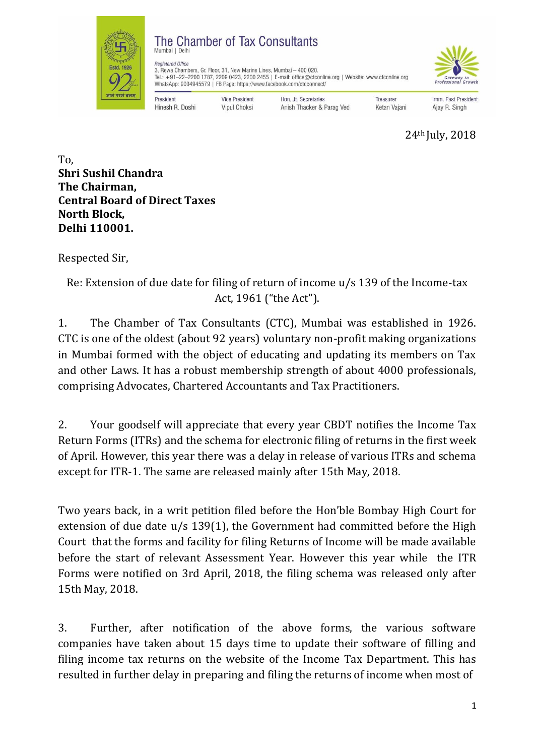

## The Chamber of Tax Consultants

**Vice President** 

**Vipul Choksi** 



Registered Office 3, Rewa Chambers, Gr. Floor, 31, New Marine Lines, Mumbai - 400 020. Tel.: +91-22-2200 1787, 2209 0423, 2200 2455 | E-mail: office@ctconline.org | Website: www.ctconline.org<br>WhatsApp: 9004945579 | FB Page: https://www.facebook.com/ctcconnect/

President Hinesh R. Doshi Hon, Jt. Secretaries

Anish Thacker & Parag Ved

Treasurer Ketan Vajani

Imm. Past President Ajay R. Singh

24th July, 2018

To, **Shri Sushil Chandra The Chairman, Central Board of Direct Taxes North Block, Delhi 110001.**

Respected Sir,

Re: Extension of due date for filing of return of income u/s 139 of the Income-tax Act, 1961 ("the Act").

1. The Chamber of Tax Consultants (CTC), Mumbai was established in 1926. CTC is one of the oldest (about 92 years) voluntary non-profit making organizations in Mumbai formed with the object of educating and updating its members on Tax and other Laws. It has a robust membership strength of about 4000 professionals, comprising Advocates, Chartered Accountants and Tax Practitioners.

2. Your goodself will appreciate that every year CBDT notifies the Income Tax Return Forms (ITRs) and the schema for electronic filing of returns in the first week of April. However, this year there was a delay in release of various ITRs and schema except for ITR-1. The same are released mainly after 15th May, 2018.

Two years back, in a writ petition filed before the Hon'ble Bombay High Court for extension of due date u/s 139(1), the Government had committed before the High Court that the forms and facility for filing Returns of Income will be made available before the start of relevant Assessment Year. However this year while the ITR Forms were notified on 3rd April, 2018, the filing schema was released only after 15th May, 2018.

3. Further, after notification of the above forms, the various software companies have taken about 15 days time to update their software of filling and filing income tax returns on the website of the Income Tax Department. This has resulted in further delay in preparing and filing the returns of income when most of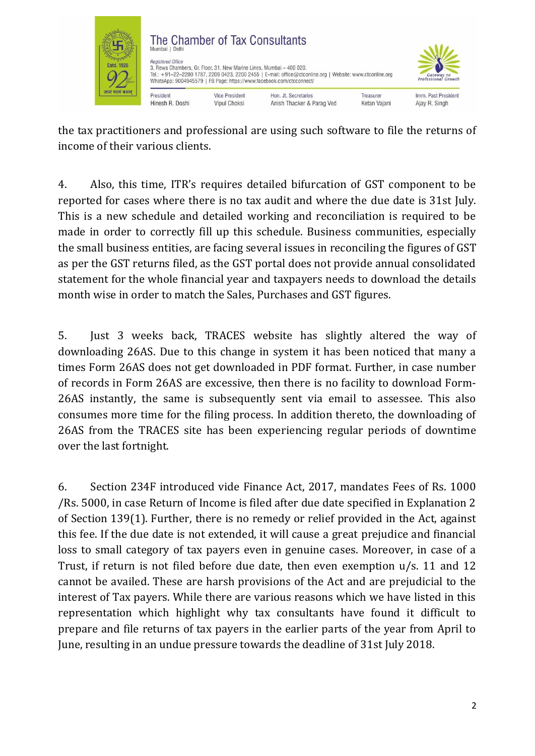

the tax practitioners and professional are using such software to file the returns of income of their various clients.

4. Also, this time, ITR's requires detailed bifurcation of GST component to be reported for cases where there is no tax audit and where the due date is 31st July. This is a new schedule and detailed working and reconciliation is required to be made in order to correctly fill up this schedule. Business communities, especially the small business entities, are facing several issues in reconciling the figures of GST as per the GST returns filed, as the GST portal does not provide annual consolidated statement for the whole financial year and taxpayers needs to download the details month wise in order to match the Sales, Purchases and GST figures.

5. Just 3 weeks back, TRACES website has slightly altered the way of downloading 26AS. Due to this change in system it has been noticed that many a times Form 26AS does not get downloaded in PDF format. Further, in case number of records in Form 26AS are excessive, then there is no facility to download Form-26AS instantly, the same is subsequently sent via email to assessee. This also consumes more time for the filing process. In addition thereto, the downloading of 26AS from the TRACES site has been experiencing regular periods of downtime over the last fortnight.

6. Section 234F introduced vide Finance Act, 2017, mandates Fees of Rs. 1000 /Rs. 5000, in case Return of Income is filed after due date specified in Explanation 2 of Section 139(1). Further, there is no remedy or relief provided in the Act, against this fee. If the due date is not extended, it will cause a great prejudice and financial loss to small category of tax payers even in genuine cases. Moreover, in case of a Trust, if return is not filed before due date, then even exemption u/s. 11 and 12 cannot be availed. These are harsh provisions of the Act and are prejudicial to the interest of Tax payers. While there are various reasons which we have listed in this representation which highlight why tax consultants have found it difficult to prepare and file returns of tax payers in the earlier parts of the year from April to June, resulting in an undue pressure towards the deadline of 31st July 2018.